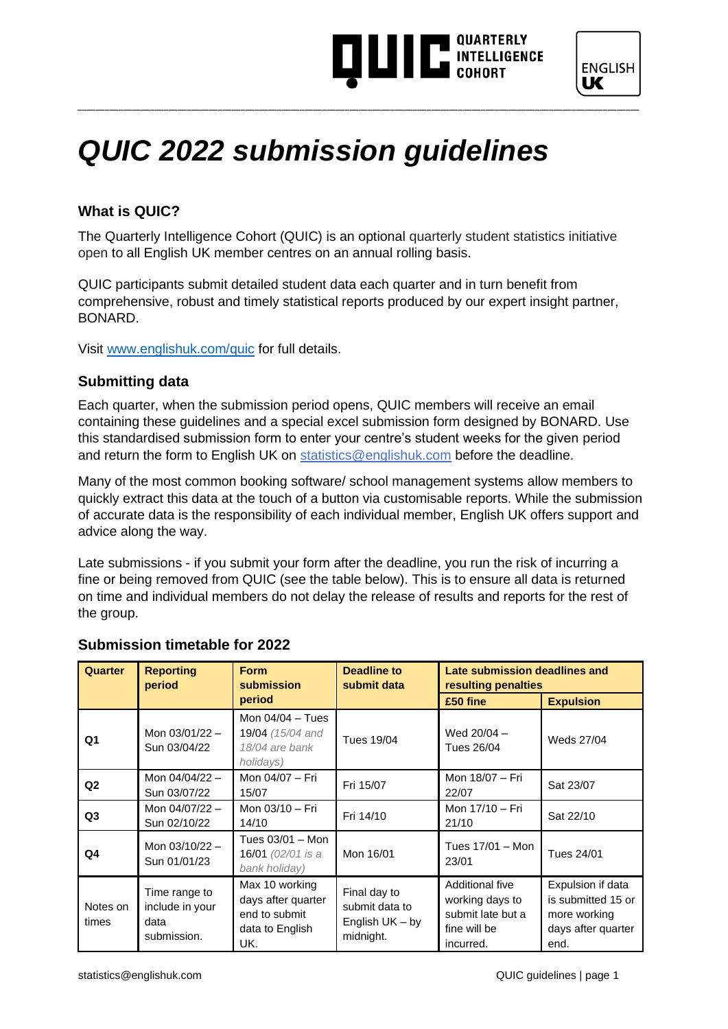### **THE INTELLIGENCE**



### *QUIC 2022 submission guidelines*

### **What is QUIC?**

The Quarterly Intelligence Cohort (QUIC) is an optional quarterly student statistics initiative open to all English UK member centres on an annual rolling basis.

\_\_\_\_\_\_\_\_\_\_\_\_\_\_\_\_\_\_\_\_\_\_\_\_\_\_\_\_\_\_\_\_\_\_\_\_\_\_\_\_\_\_\_\_\_\_\_\_\_\_\_\_\_\_\_\_\_\_\_\_\_\_\_\_\_\_\_\_\_\_\_\_\_\_\_\_\_\_\_\_\_\_\_\_\_\_\_\_\_\_\_\_\_\_\_\_\_\_\_\_\_\_\_\_\_\_\_\_\_\_\_\_\_\_\_\_\_\_\_\_\_\_\_\_

QUIC participants submit detailed student data each quarter and in turn benefit from comprehensive, robust and timely statistical reports produced by our expert insight partner, BONARD.

Visit [www.englishuk.com/quic](https://www.englishuk.com/quic) for full details.

#### **Submitting data**

Each quarter, when the submission period opens, QUIC members will receive an email containing these guidelines and a special excel submission form designed by BONARD. Use this standardised submission form to enter your centre's student weeks for the given period and return the form to English UK on [statistics@englishuk.com](mailto:statistics@englishuk.com) before the deadline.

Many of the most common booking software/ school management systems allow members to quickly extract this data at the touch of a button via customisable reports. While the submission of accurate data is the responsibility of each individual member, English UK offers support and advice along the way.

Late submissions - if you submit your form after the deadline, you run the risk of incurring a fine or being removed from QUIC (see the table below). This is to ensure all data is returned on time and individual members do not delay the release of results and reports for the rest of the group.

| <b>Quarter</b>    | <b>Reporting</b><br>period                              | <b>Form</b><br>submission                                                       | <b>Deadline to</b><br>submit data                                | Late submission deadlines and<br>resulting penalties                                 |                                                                                       |
|-------------------|---------------------------------------------------------|---------------------------------------------------------------------------------|------------------------------------------------------------------|--------------------------------------------------------------------------------------|---------------------------------------------------------------------------------------|
|                   |                                                         | period                                                                          |                                                                  | £50 fine                                                                             | <b>Expulsion</b>                                                                      |
| Q1                | Mon $03/01/22 -$<br>Sun 03/04/22                        | Mon 04/04 - Tues<br>19/04 (15/04 and<br>18/04 are bank<br>holidays)             | Tues 19/04                                                       | Wed 20/04 -<br>Tues 26/04                                                            | Weds 27/04                                                                            |
| Q <sub>2</sub>    | Mon $04/04/22 -$<br>Sun 03/07/22                        | Mon 04/07 - Fri<br>15/07                                                        | Fri 15/07                                                        | Mon 18/07 - Fri<br>22/07                                                             | Sat 23/07                                                                             |
| Q <sub>3</sub>    | Mon 04/07/22 -<br>Sun 02/10/22                          | Mon 03/10 - Fri<br>14/10                                                        | Fri 14/10                                                        | Mon 17/10 - Fri<br>21/10                                                             | Sat 22/10                                                                             |
| Q4                | Mon $03/10/22 -$<br>Sun 01/01/23                        | Tues 03/01 - Mon<br>16/01 (02/01 is a<br>bank holiday)                          | Mon 16/01                                                        | Tues 17/01 - Mon<br>23/01                                                            | Tues 24/01                                                                            |
| Notes on<br>times | Time range to<br>include in your<br>data<br>submission. | Max 10 working<br>days after quarter<br>end to submit<br>data to English<br>UK. | Final day to<br>submit data to<br>English $UK - by$<br>midnight. | Additional five<br>working days to<br>submit late but a<br>fine will be<br>incurred. | Expulsion if data<br>is submitted 15 or<br>more working<br>days after quarter<br>end. |

#### **Submission timetable for 2022**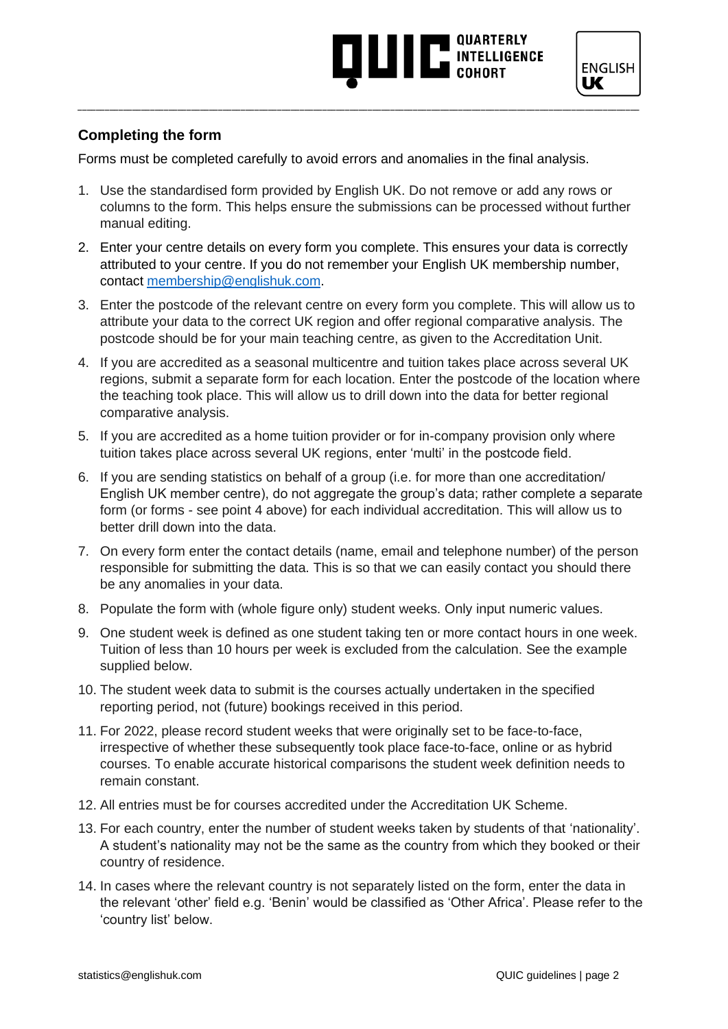### **AND THE SUBSTANCE**



### **Completing the form**

Forms must be completed carefully to avoid errors and anomalies in the final analysis.

1. Use the standardised form provided by English UK. Do not remove or add any rows or columns to the form. This helps ensure the submissions can be processed without further manual editing.

- 2. Enter your centre details on every form you complete. This ensures your data is correctly attributed to your centre. If you do not remember your English UK membership number, contact [membership@englishuk.com.](mailto:membership@englishuk.com)
- 3. Enter the postcode of the relevant centre on every form you complete. This will allow us to attribute your data to the correct UK region and offer regional comparative analysis. The postcode should be for your main teaching centre, as given to the Accreditation Unit.
- 4. If you are accredited as a seasonal multicentre and tuition takes place across several UK regions, submit a separate form for each location. Enter the postcode of the location where the teaching took place. This will allow us to drill down into the data for better regional comparative analysis.
- 5. If you are accredited as a home tuition provider or for in-company provision only where tuition takes place across several UK regions, enter 'multi' in the postcode field.
- 6. If you are sending statistics on behalf of a group (i.e. for more than one accreditation/ English UK member centre), do not aggregate the group's data; rather complete a separate form (or forms - see point 4 above) for each individual accreditation. This will allow us to better drill down into the data.
- 7. On every form enter the contact details (name, email and telephone number) of the person responsible for submitting the data. This is so that we can easily contact you should there be any anomalies in your data.
- 8. Populate the form with (whole figure only) student weeks. Only input numeric values.
- 9. One student week is defined as one student taking ten or more contact hours in one week. Tuition of less than 10 hours per week is excluded from the calculation. See the example supplied below.
- 10. The student week data to submit is the courses actually undertaken in the specified reporting period, not (future) bookings received in this period.
- 11. For 2022, please record student weeks that were originally set to be face-to-face, irrespective of whether these subsequently took place face-to-face, online or as hybrid courses. To enable accurate historical comparisons the student week definition needs to remain constant.
- 12. All entries must be for courses accredited under the Accreditation UK Scheme.
- 13. For each country, enter the number of student weeks taken by students of that 'nationality'. A student's nationality may not be the same as the country from which they booked or their country of residence.
- 14. In cases where the relevant country is not separately listed on the form, enter the data in the relevant 'other' field e.g. 'Benin' would be classified as 'Other Africa'. Please refer to the 'country list' below.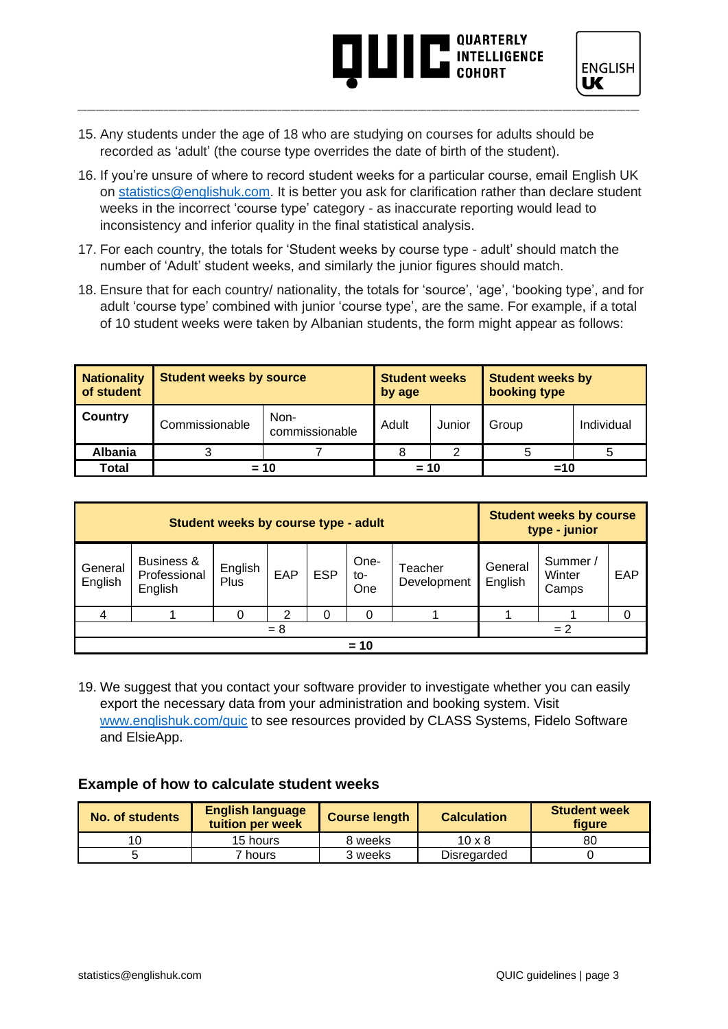## **AND ARTICULAR AND INTELLIGENCE**



- 15. Any students under the age of 18 who are studying on courses for adults should be recorded as 'adult' (the course type overrides the date of birth of the student).
- 16. If you're unsure of where to record student weeks for a particular course, email English UK on [statistics@englishuk.com.](mailto:statistics@englishuk.com) It is better you ask for clarification rather than declare student weeks in the incorrect 'course type' category - as inaccurate reporting would lead to inconsistency and inferior quality in the final statistical analysis.

\_\_\_\_\_\_\_\_\_\_\_\_\_\_\_\_\_\_\_\_\_\_\_\_\_\_\_\_\_\_\_\_\_\_\_\_\_\_\_\_\_\_\_\_\_\_\_\_\_\_\_\_\_\_\_\_\_\_\_\_\_\_\_\_\_\_\_\_\_\_\_\_\_\_\_\_\_\_\_\_\_\_\_\_\_\_\_\_\_\_\_\_\_\_\_\_\_\_\_\_\_\_\_\_\_\_\_\_\_\_\_\_\_\_\_\_\_\_\_\_\_\_\_\_

- 17. For each country, the totals for 'Student weeks by course type adult' should match the number of 'Adult' student weeks, and similarly the junior figures should match.
- 18. Ensure that for each country/ nationality, the totals for 'source', 'age', 'booking type', and for adult 'course type' combined with junior 'course type', are the same. For example, if a total of 10 student weeks were taken by Albanian students, the form might appear as follows:

| <b>Nationality</b><br>of student | <b>Student weeks by source</b> | <b>Student weeks</b><br>by age |       | <b>Student weeks by</b><br>booking type |       |            |
|----------------------------------|--------------------------------|--------------------------------|-------|-----------------------------------------|-------|------------|
| Country                          | Commissionable                 | Non-<br>commissionable         | Adult | Junior                                  | Group | Individual |
| <b>Albania</b>                   |                                |                                |       |                                         |       |            |
| Total                            | $= 10$                         | $= 10$                         |       | $=10$                                   |       |            |

| Student weeks by course type - adult |                                       |                 |     |            |                    | <b>Student weeks by course</b><br>type - junior |                    |                             |          |
|--------------------------------------|---------------------------------------|-----------------|-----|------------|--------------------|-------------------------------------------------|--------------------|-----------------------------|----------|
| General<br>English                   | Business &<br>Professional<br>English | English<br>Plus | EAP | <b>ESP</b> | One-<br>to-<br>One | Teacher<br>Development                          | General<br>English | Summer /<br>Winter<br>Camps | EAP      |
| 4                                    |                                       | 0               | 2   |            | 0                  |                                                 |                    |                             | $\Omega$ |
| $= 2$<br>$= 8$                       |                                       |                 |     |            |                    |                                                 |                    |                             |          |
| $= 10$                               |                                       |                 |     |            |                    |                                                 |                    |                             |          |

19. We suggest that you contact your software provider to investigate whether you can easily export the necessary data from your administration and booking system. Visit [www.englishuk.com/quic](https://www.englishuk.com/quic) to see resources provided by CLASS Systems, Fidelo Software and ElsieApp.

### **Example of how to calculate student weeks**

| No. of students | <b>English language</b><br>tuition per week | <b>Course length</b> | <b>Calculation</b> | <b>Student week</b><br>figure |
|-----------------|---------------------------------------------|----------------------|--------------------|-------------------------------|
|                 | 15 hours                                    | 8 weeks              | $10 \times 8$      | 80                            |
|                 | <sup>7</sup> hours                          | 3 weeks              | Disregarded        |                               |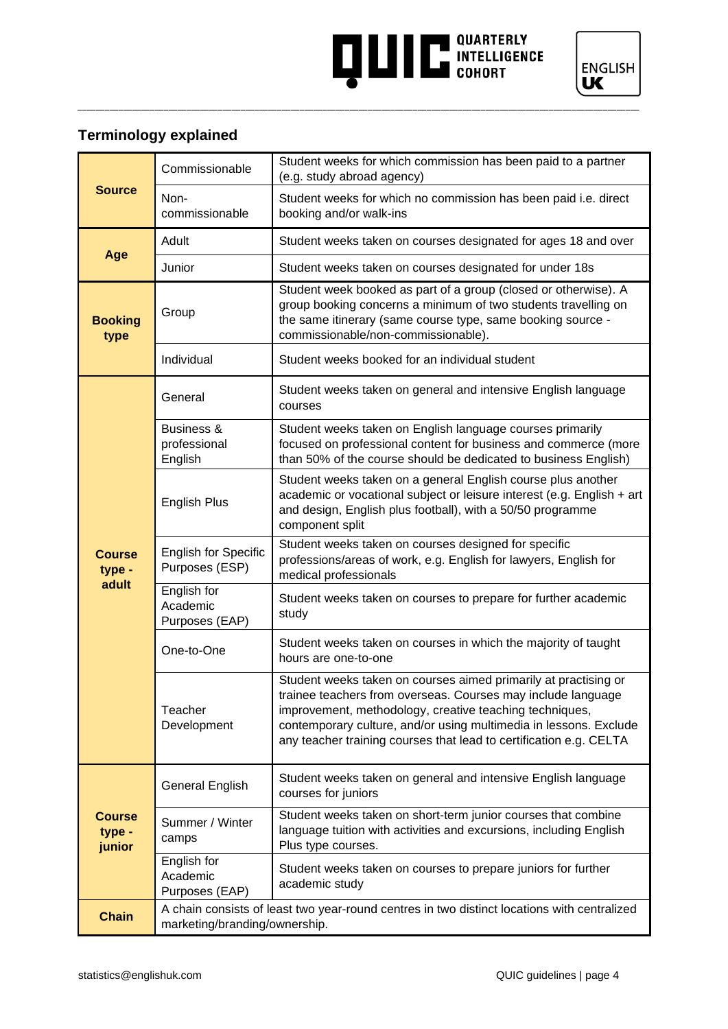# **AND READ OUARTERLY INTELLIGENCE**



### **Terminology explained**

|                                   | Commissionable                                                                                                               | Student weeks for which commission has been paid to a partner<br>(e.g. study abroad agency)                                                                                                                                                                                                                                           |  |
|-----------------------------------|------------------------------------------------------------------------------------------------------------------------------|---------------------------------------------------------------------------------------------------------------------------------------------------------------------------------------------------------------------------------------------------------------------------------------------------------------------------------------|--|
| <b>Source</b>                     | Non-<br>commissionable                                                                                                       | Student weeks for which no commission has been paid i.e. direct<br>booking and/or walk-ins                                                                                                                                                                                                                                            |  |
|                                   | Adult                                                                                                                        | Student weeks taken on courses designated for ages 18 and over                                                                                                                                                                                                                                                                        |  |
| Age                               | Junior                                                                                                                       | Student weeks taken on courses designated for under 18s                                                                                                                                                                                                                                                                               |  |
| <b>Booking</b><br>type            | Group                                                                                                                        | Student week booked as part of a group (closed or otherwise). A<br>group booking concerns a minimum of two students travelling on<br>the same itinerary (same course type, same booking source -<br>commissionable/non-commissionable).                                                                                               |  |
|                                   | Individual                                                                                                                   | Student weeks booked for an individual student                                                                                                                                                                                                                                                                                        |  |
|                                   | General                                                                                                                      | Student weeks taken on general and intensive English language<br>courses                                                                                                                                                                                                                                                              |  |
|                                   | Business &<br>professional<br>English                                                                                        | Student weeks taken on English language courses primarily<br>focused on professional content for business and commerce (more<br>than 50% of the course should be dedicated to business English)                                                                                                                                       |  |
|                                   | <b>English Plus</b>                                                                                                          | Student weeks taken on a general English course plus another<br>academic or vocational subject or leisure interest (e.g. English + art<br>and design, English plus football), with a 50/50 programme<br>component split                                                                                                               |  |
| <b>Course</b><br>type -           | <b>English for Specific</b><br>Purposes (ESP)                                                                                | Student weeks taken on courses designed for specific<br>professions/areas of work, e.g. English for lawyers, English for<br>medical professionals                                                                                                                                                                                     |  |
| adult                             | English for<br>Academic<br>Purposes (EAP)                                                                                    | Student weeks taken on courses to prepare for further academic<br>study                                                                                                                                                                                                                                                               |  |
|                                   | One-to-One                                                                                                                   | Student weeks taken on courses in which the majority of taught<br>hours are one-to-one                                                                                                                                                                                                                                                |  |
|                                   | Teacher<br>Development                                                                                                       | Student weeks taken on courses aimed primarily at practising or<br>trainee teachers from overseas. Courses may include language<br>improvement, methodology, creative teaching techniques,<br>contemporary culture, and/or using multimedia in lessons. Exclude<br>any teacher training courses that lead to certification e.g. CELTA |  |
|                                   | General English                                                                                                              | Student weeks taken on general and intensive English language<br>courses for juniors                                                                                                                                                                                                                                                  |  |
| <b>Course</b><br>type -<br>junior | Summer / Winter<br>camps                                                                                                     | Student weeks taken on short-term junior courses that combine<br>language tuition with activities and excursions, including English<br>Plus type courses.                                                                                                                                                                             |  |
|                                   | English for<br>Academic<br>Purposes (EAP)                                                                                    | Student weeks taken on courses to prepare juniors for further<br>academic study                                                                                                                                                                                                                                                       |  |
| <b>Chain</b>                      | A chain consists of least two year-round centres in two distinct locations with centralized<br>marketing/branding/ownership. |                                                                                                                                                                                                                                                                                                                                       |  |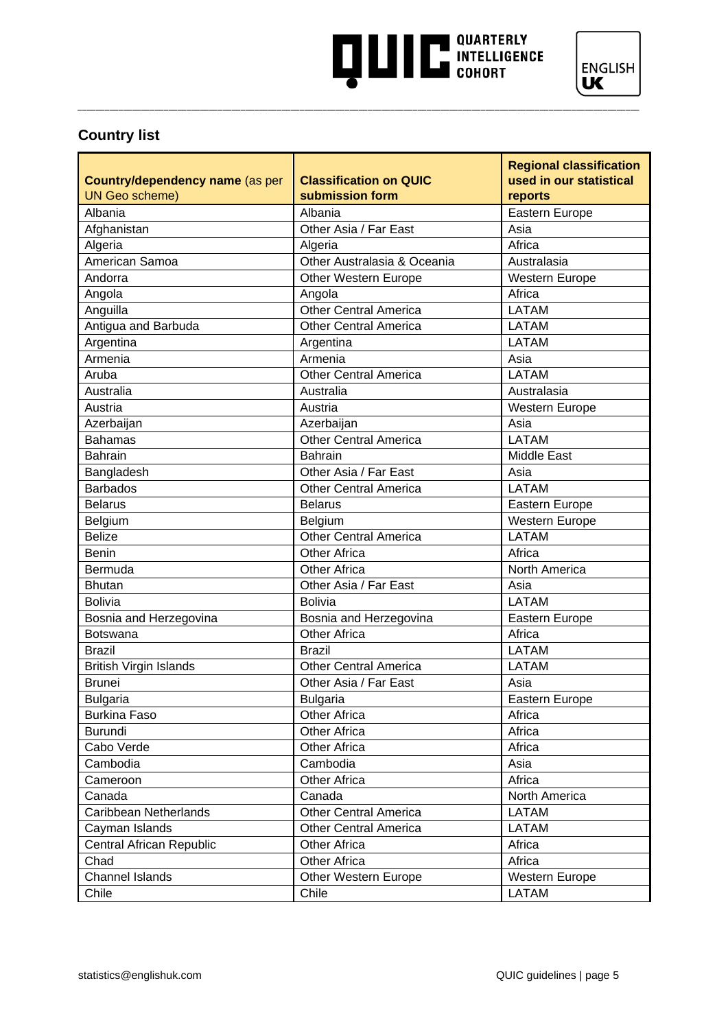# **AND READ TO USE AND SUBSTANCE COHORT**



### **Country list**

| Country/dependency name (as per<br><b>UN Geo scheme)</b> | <b>Classification on QUIC</b><br>submission form | <b>Regional classification</b><br>used in our statistical<br>reports |
|----------------------------------------------------------|--------------------------------------------------|----------------------------------------------------------------------|
| Albania                                                  | Albania                                          | Eastern Europe                                                       |
| Afghanistan                                              | Other Asia / Far East                            | Asia                                                                 |
| Algeria                                                  | Algeria                                          | Africa                                                               |
| American Samoa                                           | Other Australasia & Oceania                      | Australasia                                                          |
| Andorra                                                  | Other Western Europe                             | Western Europe                                                       |
| Angola                                                   | Angola                                           | Africa                                                               |
| Anguilla                                                 | <b>Other Central America</b>                     | <b>LATAM</b>                                                         |
| Antigua and Barbuda                                      | <b>Other Central America</b>                     | <b>LATAM</b>                                                         |
| Argentina                                                | Argentina                                        | <b>LATAM</b>                                                         |
| Armenia                                                  | Armenia                                          | Asia                                                                 |
| Aruba                                                    | <b>Other Central America</b>                     | <b>LATAM</b>                                                         |
| Australia                                                | Australia                                        | Australasia                                                          |
| Austria                                                  | Austria                                          | Western Europe                                                       |
| Azerbaijan                                               | Azerbaijan                                       | Asia                                                                 |
| <b>Bahamas</b>                                           | <b>Other Central America</b>                     | <b>LATAM</b>                                                         |
| <b>Bahrain</b>                                           | Bahrain                                          | <b>Middle East</b>                                                   |
| Bangladesh                                               | Other Asia / Far East                            | Asia                                                                 |
| <b>Barbados</b>                                          | <b>Other Central America</b>                     | <b>LATAM</b>                                                         |
| <b>Belarus</b>                                           | <b>Belarus</b>                                   | Eastern Europe                                                       |
| Belgium                                                  | Belgium                                          | Western Europe                                                       |
| <b>Belize</b>                                            | <b>Other Central America</b>                     | <b>LATAM</b>                                                         |
| <b>Benin</b>                                             | <b>Other Africa</b>                              | Africa                                                               |
| Bermuda                                                  | <b>Other Africa</b>                              | North America                                                        |
| <b>Bhutan</b>                                            | Other Asia / Far East                            | Asia                                                                 |
| <b>Bolivia</b>                                           | <b>Bolivia</b>                                   | <b>LATAM</b>                                                         |
| Bosnia and Herzegovina                                   | Bosnia and Herzegovina                           | Eastern Europe                                                       |
| <b>Botswana</b>                                          | <b>Other Africa</b>                              | Africa                                                               |
| <b>Brazil</b>                                            | <b>Brazil</b>                                    | <b>LATAM</b>                                                         |
| <b>British Virgin Islands</b>                            | <b>Other Central America</b>                     | <b>LATAM</b>                                                         |
| <b>Brunei</b>                                            | Other Asia / Far East                            | Asia                                                                 |
| <b>Bulgaria</b>                                          | <b>Bulgaria</b>                                  | Eastern Europe                                                       |
| <b>Burkina Faso</b>                                      | <b>Other Africa</b>                              | Africa                                                               |
| Burundi                                                  | <b>Other Africa</b>                              | Africa                                                               |
| Cabo Verde                                               | Other Africa                                     | Africa                                                               |
| Cambodia                                                 | Cambodia                                         | Asia                                                                 |
| Cameroon                                                 | <b>Other Africa</b>                              | Africa                                                               |
| Canada                                                   | Canada                                           | North America                                                        |
| Caribbean Netherlands                                    | <b>Other Central America</b>                     | <b>LATAM</b>                                                         |
| Cayman Islands                                           | <b>Other Central America</b>                     | <b>LATAM</b>                                                         |
| Central African Republic                                 | Other Africa                                     | Africa                                                               |
| Chad                                                     | <b>Other Africa</b>                              | Africa                                                               |
| Channel Islands                                          | Other Western Europe                             | Western Europe                                                       |
| Chile                                                    | Chile                                            | LATAM                                                                |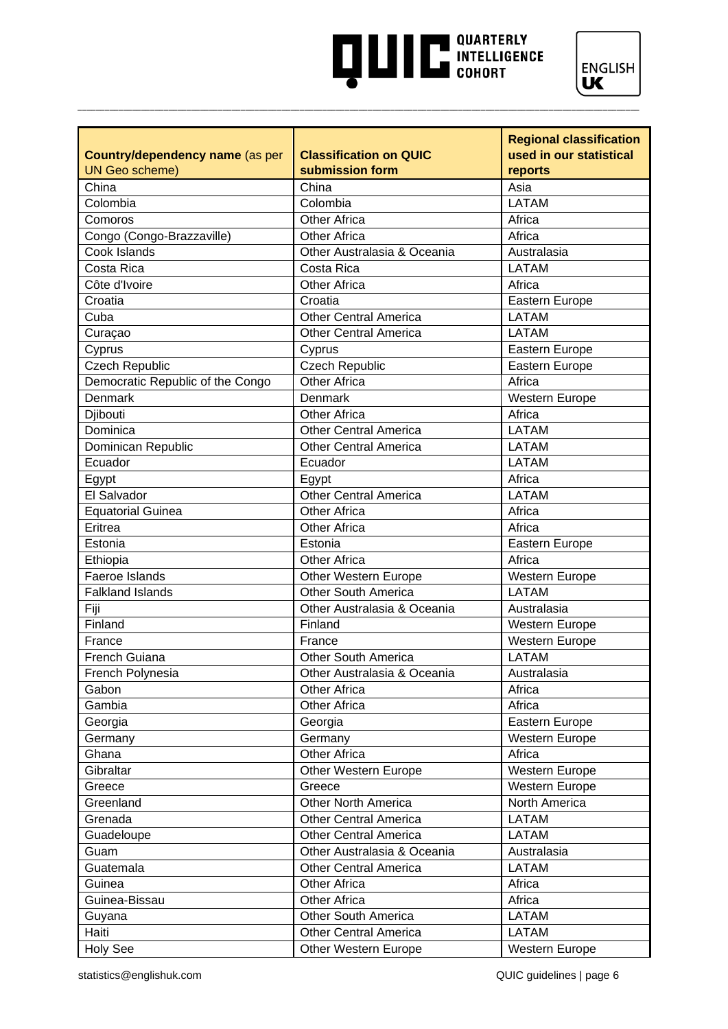# **AND READ TO A PARTICULAR SUBSEX COHORT**



|                                  |                                                    | <b>Regional classification</b> |
|----------------------------------|----------------------------------------------------|--------------------------------|
| Country/dependency name (as per  | <b>Classification on QUIC</b>                      | used in our statistical        |
| <b>UN Geo scheme)</b>            | submission form                                    | reports                        |
| China                            | China                                              | Asia                           |
| Colombia                         | Colombia                                           | <b>LATAM</b>                   |
| Comoros                          | <b>Other Africa</b>                                | Africa                         |
| Congo (Congo-Brazzaville)        | <b>Other Africa</b>                                | Africa                         |
| Cook Islands                     | Other Australasia & Oceania                        | Australasia                    |
| Costa Rica                       | Costa Rica                                         | <b>LATAM</b>                   |
| Côte d'Ivoire                    | <b>Other Africa</b>                                | Africa                         |
| Croatia                          | Croatia                                            | Eastern Europe                 |
| Cuba                             | <b>Other Central America</b>                       | <b>LATAM</b>                   |
| Curaçao                          | <b>Other Central America</b>                       | <b>LATAM</b>                   |
| Cyprus                           | Cyprus                                             | Eastern Europe                 |
| <b>Czech Republic</b>            | <b>Czech Republic</b>                              | Eastern Europe                 |
| Democratic Republic of the Congo | Other Africa                                       | Africa                         |
| <b>Denmark</b>                   | Denmark                                            | Western Europe                 |
| Djibouti                         | <b>Other Africa</b>                                | Africa                         |
| Dominica                         | <b>Other Central America</b>                       | <b>LATAM</b>                   |
| Dominican Republic               | Other Central America                              | <b>LATAM</b>                   |
| Ecuador                          | Ecuador                                            | <b>LATAM</b>                   |
| Egypt                            | Egypt                                              | Africa                         |
| El Salvador                      | <b>Other Central America</b>                       | <b>LATAM</b>                   |
| <b>Equatorial Guinea</b>         | <b>Other Africa</b>                                | Africa                         |
| Eritrea                          | <b>Other Africa</b>                                | Africa                         |
| Estonia                          | Estonia                                            | Eastern Europe                 |
|                                  | <b>Other Africa</b>                                | Africa                         |
| Ethiopia<br>Faeroe Islands       |                                                    |                                |
| <b>Falkland Islands</b>          | Other Western Europe<br><b>Other South America</b> | Western Europe<br><b>LATAM</b> |
|                                  |                                                    |                                |
| Fiji                             | Other Australasia & Oceania                        | Australasia                    |
| Finland                          | Finland                                            | <b>Western Europe</b>          |
| France                           | France                                             | Western Europe                 |
| <b>French Guiana</b>             | <b>Other South America</b>                         | <b>LATAM</b>                   |
| French Polynesia                 | Other Australasia & Oceania                        | Australasia                    |
| Gabon                            | <b>Other Africa</b>                                | Africa                         |
| Gambia                           | <b>Other Africa</b>                                | Africa                         |
| Georgia                          | Georgia                                            | Eastern Europe                 |
| Germany                          | Germany                                            | Western Europe                 |
| Ghana                            | <b>Other Africa</b>                                | Africa                         |
| Gibraltar                        | Other Western Europe                               | Western Europe                 |
| Greece                           | Greece                                             | Western Europe                 |
| Greenland                        | <b>Other North America</b>                         | North America                  |
| Grenada                          | <b>Other Central America</b>                       | <b>LATAM</b>                   |
| Guadeloupe                       | <b>Other Central America</b>                       | <b>LATAM</b>                   |
| Guam                             | Other Australasia & Oceania                        | Australasia                    |
| Guatemala                        | <b>Other Central America</b>                       | <b>LATAM</b>                   |
| Guinea                           | <b>Other Africa</b>                                | Africa                         |
| Guinea-Bissau                    | <b>Other Africa</b>                                | Africa                         |
| Guyana                           | <b>Other South America</b>                         | <b>LATAM</b>                   |
| Haiti                            | <b>Other Central America</b>                       | <b>LATAM</b>                   |
| <b>Holy See</b>                  | Other Western Europe                               | Western Europe                 |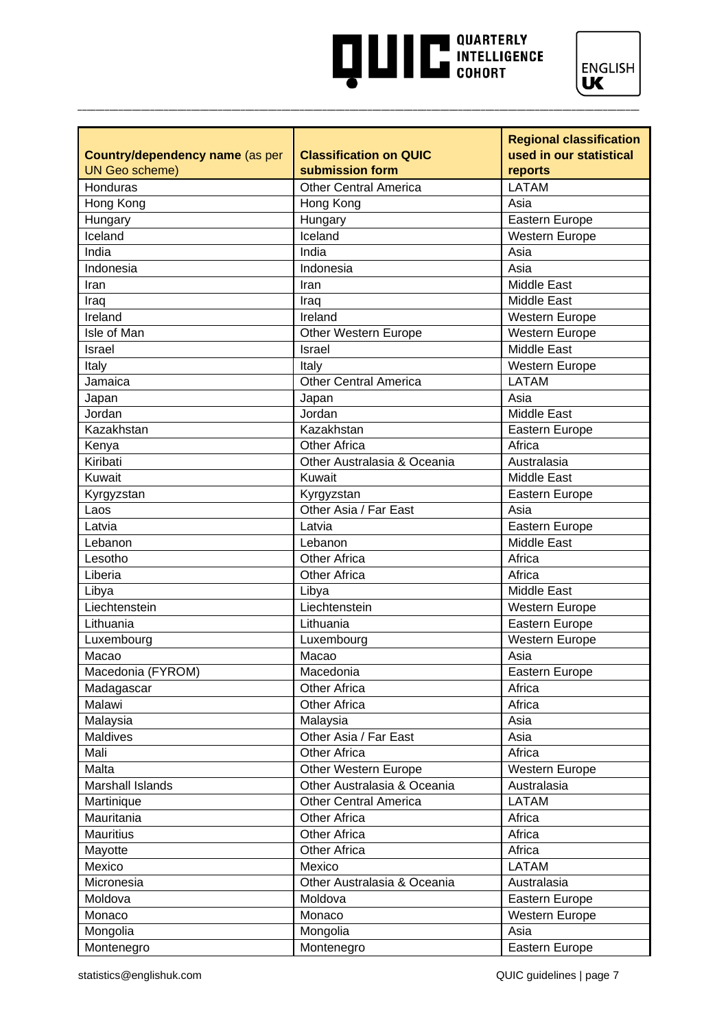# **AND READ OUARTERLY INTELLIGENCE**



|                                 |                               | <b>Regional classification</b> |
|---------------------------------|-------------------------------|--------------------------------|
| Country/dependency name (as per | <b>Classification on QUIC</b> | used in our statistical        |
| <b>UN Geo scheme)</b>           | submission form               | reports                        |
| Honduras                        | <b>Other Central America</b>  | <b>LATAM</b>                   |
| Hong Kong                       | Hong Kong                     | Asia                           |
| Hungary                         | Hungary                       | Eastern Europe                 |
| Iceland                         | Iceland                       | <b>Western Europe</b>          |
| India                           | India                         | Asia                           |
| Indonesia                       | Indonesia                     | Asia                           |
| Iran                            | Iran                          | Middle East                    |
| Iraq                            | Iraq                          | <b>Middle East</b>             |
| Ireland                         | Ireland                       | <b>Western Europe</b>          |
| Isle of Man                     | Other Western Europe          | Western Europe                 |
| Israel                          | <b>Israel</b>                 | Middle East                    |
| Italy                           | Italy                         | Western Europe                 |
| Jamaica                         | <b>Other Central America</b>  | <b>LATAM</b>                   |
| Japan                           | Japan                         | Asia                           |
| Jordan                          | Jordan                        | <b>Middle East</b>             |
| Kazakhstan                      | Kazakhstan                    | Eastern Europe                 |
| Kenya                           | <b>Other Africa</b>           | Africa                         |
| Kiribati                        | Other Australasia & Oceania   | Australasia                    |
| Kuwait                          | Kuwait                        | <b>Middle East</b>             |
| Kyrgyzstan                      | Kyrgyzstan                    | Eastern Europe                 |
| Laos                            | Other Asia / Far East         | Asia                           |
| Latvia                          | Latvia                        | Eastern Europe                 |
| Lebanon                         | Lebanon                       | <b>Middle East</b>             |
| Lesotho                         | <b>Other Africa</b>           | Africa                         |
| Liberia                         | <b>Other Africa</b>           | Africa                         |
| Libya                           | Libya                         | Middle East                    |
| Liechtenstein                   | Liechtenstein                 | Western Europe                 |
| Lithuania                       | Lithuania                     | Eastern Europe                 |
| Luxembourg                      | Luxembourg                    | <b>Western Europe</b>          |
| Macao                           | Macao                         | Asia                           |
| Macedonia (FYROM)               | Macedonia                     | Eastern Europe                 |
| Madagascar                      | <b>Other Africa</b>           | Africa                         |
| Malawi                          | <b>Other Africa</b>           | Africa                         |
| Malaysia                        | Malaysia                      | Asia                           |
| Maldives                        | Other Asia / Far East         | Asia                           |
| Mali                            | <b>Other Africa</b>           | Africa                         |
| Malta                           | Other Western Europe          | Western Europe                 |
| Marshall Islands                | Other Australasia & Oceania   | Australasia                    |
| Martinique                      | <b>Other Central America</b>  | <b>LATAM</b>                   |
| Mauritania                      | <b>Other Africa</b>           | Africa                         |
| <b>Mauritius</b>                | <b>Other Africa</b>           | Africa                         |
| Mayotte                         | <b>Other Africa</b>           | Africa                         |
| Mexico                          | Mexico                        | <b>LATAM</b>                   |
| Micronesia                      | Other Australasia & Oceania   | Australasia                    |
| Moldova                         | Moldova                       | Eastern Europe                 |
| Monaco                          | Monaco                        | Western Europe                 |
| Mongolia                        | Mongolia                      | Asia                           |
| Montenegro                      | Montenegro                    | Eastern Europe                 |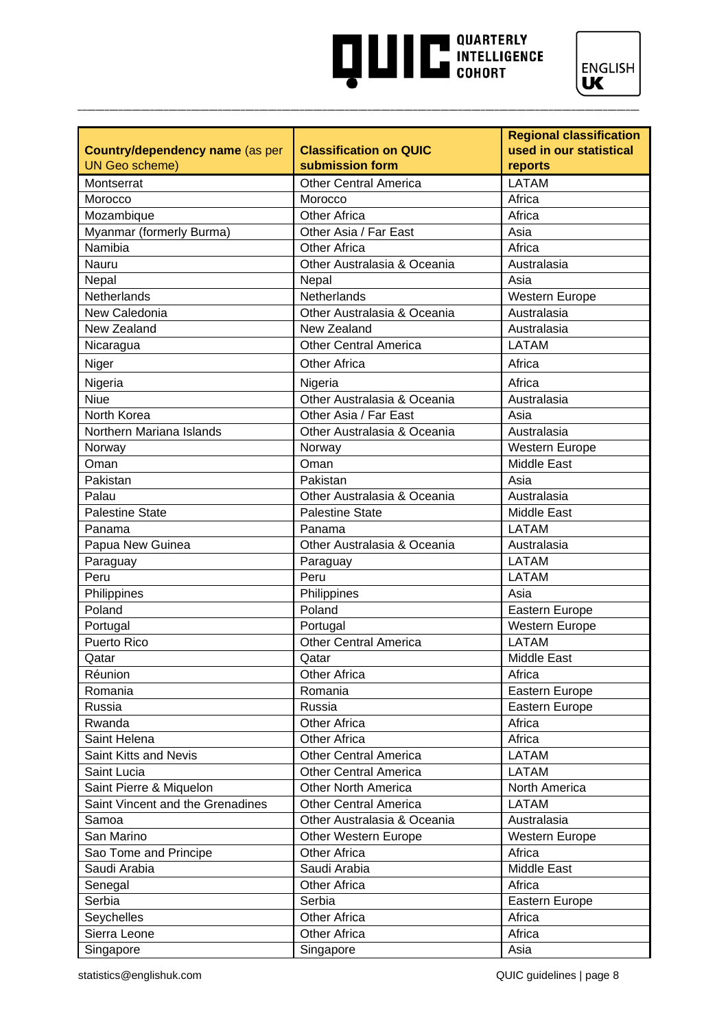# **AND READ TO A PARTICULAR SUBSEX COHORT**



|                                                          |                                                  | <b>Regional classification</b>     |
|----------------------------------------------------------|--------------------------------------------------|------------------------------------|
| Country/dependency name (as per<br><b>UN Geo scheme)</b> | <b>Classification on QUIC</b><br>submission form | used in our statistical<br>reports |
| Montserrat                                               | <b>Other Central America</b>                     | <b>LATAM</b>                       |
| Morocco                                                  | Morocco                                          | Africa                             |
| Mozambique                                               | <b>Other Africa</b>                              | Africa                             |
| Myanmar (formerly Burma)                                 | Other Asia / Far East                            | Asia                               |
| Namibia                                                  | <b>Other Africa</b>                              | Africa                             |
| Nauru                                                    | Other Australasia & Oceania                      | Australasia                        |
| Nepal                                                    | Nepal                                            | Asia                               |
| Netherlands                                              | Netherlands                                      | Western Europe                     |
| New Caledonia                                            | Other Australasia & Oceania                      | Australasia                        |
| New Zealand                                              | New Zealand                                      | Australasia                        |
| Nicaragua                                                | <b>Other Central America</b>                     | <b>LATAM</b>                       |
| Niger                                                    | <b>Other Africa</b>                              | Africa                             |
|                                                          |                                                  |                                    |
| Nigeria                                                  | Nigeria                                          | Africa                             |
| <b>Niue</b>                                              | Other Australasia & Oceania                      | Australasia                        |
| North Korea                                              | Other Asia / Far East                            | Asia                               |
| Northern Mariana Islands                                 | Other Australasia & Oceania                      | Australasia                        |
| Norway                                                   | Norway                                           | Western Europe                     |
| Oman                                                     | Oman                                             | <b>Middle East</b>                 |
| Pakistan                                                 | Pakistan                                         | Asia                               |
| Palau                                                    | Other Australasia & Oceania                      | Australasia                        |
| <b>Palestine State</b>                                   | <b>Palestine State</b>                           | <b>Middle East</b>                 |
| Panama                                                   | Panama                                           | <b>LATAM</b>                       |
| Papua New Guinea                                         | Other Australasia & Oceania                      | Australasia                        |
| Paraguay                                                 | Paraguay                                         | <b>LATAM</b>                       |
| Peru                                                     | Peru                                             | <b>LATAM</b>                       |
| Philippines                                              | Philippines                                      | Asia                               |
| Poland                                                   | Poland                                           | Eastern Europe                     |
| Portugal                                                 | Portugal                                         | <b>Western Europe</b>              |
| <b>Puerto Rico</b>                                       | <b>Other Central America</b>                     | <b>LATAM</b>                       |
| Qatar                                                    | Qatar                                            | <b>Middle East</b>                 |
| Réunion                                                  | Other Africa                                     | Africa                             |
| Romania                                                  | Romania                                          | Eastern Europe                     |
| Russia                                                   | Russia                                           | Eastern Europe                     |
| Rwanda                                                   | <b>Other Africa</b>                              | Africa                             |
| Saint Helena                                             | <b>Other Africa</b>                              | Africa                             |
| Saint Kitts and Nevis                                    | Other Central America                            | <b>LATAM</b>                       |
| Saint Lucia                                              | <b>Other Central America</b>                     | <b>LATAM</b>                       |
| Saint Pierre & Miquelon                                  | <b>Other North America</b>                       | North America                      |
| Saint Vincent and the Grenadines                         | <b>Other Central America</b>                     | <b>LATAM</b>                       |
| Samoa                                                    | Other Australasia & Oceania                      | Australasia                        |
| San Marino                                               | Other Western Europe                             | Western Europe                     |
| Sao Tome and Principe                                    | <b>Other Africa</b>                              | Africa                             |
| Saudi Arabia                                             | Saudi Arabia                                     | <b>Middle East</b>                 |
| Senegal                                                  | <b>Other Africa</b>                              | Africa                             |
| Serbia                                                   | Serbia                                           | Eastern Europe                     |
| Seychelles                                               | Other Africa                                     | Africa                             |
| Sierra Leone                                             | <b>Other Africa</b>                              | Africa                             |
| Singapore                                                | Singapore                                        | Asia                               |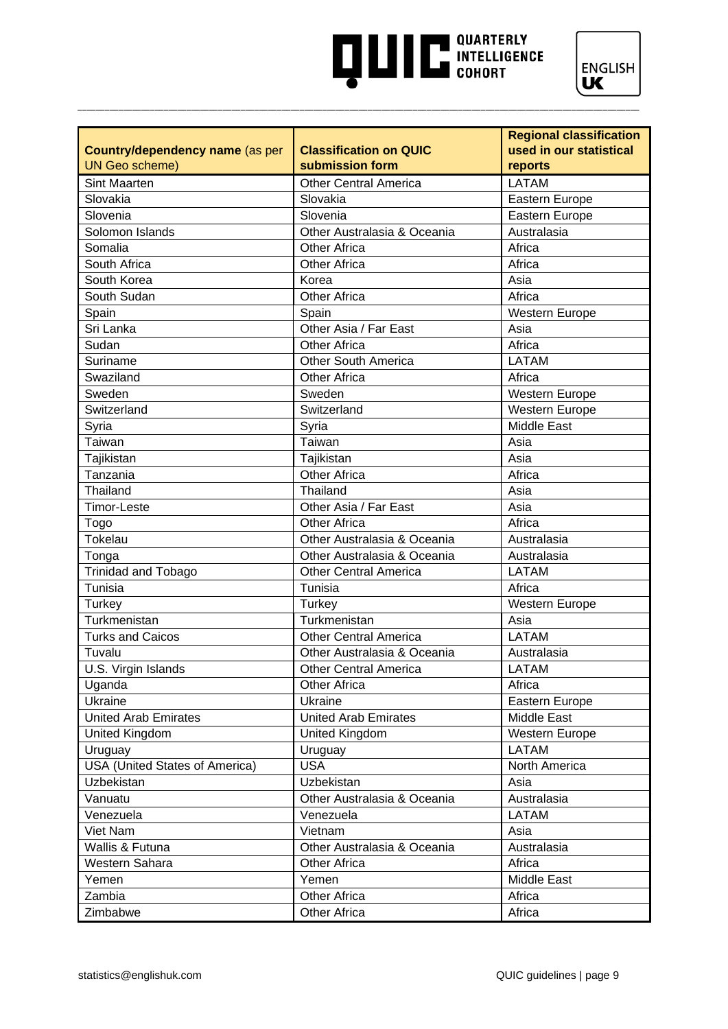# **AND READ TO A PARTICULAR SUBSEX COHORT**



|                                        |                               | <b>Regional classification</b> |
|----------------------------------------|-------------------------------|--------------------------------|
| <b>Country/dependency name (as per</b> | <b>Classification on QUIC</b> | used in our statistical        |
| <b>UN Geo scheme)</b>                  | submission form               | reports                        |
| <b>Sint Maarten</b>                    | <b>Other Central America</b>  | <b>LATAM</b>                   |
| Slovakia                               | Slovakia                      | Eastern Europe                 |
| Slovenia                               | Slovenia                      | Eastern Europe                 |
| Solomon Islands                        | Other Australasia & Oceania   | Australasia                    |
| Somalia                                | <b>Other Africa</b>           | Africa                         |
| South Africa                           | <b>Other Africa</b>           | Africa                         |
| South Korea                            | Korea                         | Asia                           |
| South Sudan                            | <b>Other Africa</b>           | Africa                         |
| Spain                                  | Spain                         | Western Europe                 |
| Sri Lanka                              | Other Asia / Far East         | Asia                           |
| Sudan                                  | <b>Other Africa</b>           | Africa                         |
| Suriname                               | <b>Other South America</b>    | <b>LATAM</b>                   |
| Swaziland                              | <b>Other Africa</b>           | Africa                         |
| Sweden                                 | Sweden                        | Western Europe                 |
| Switzerland                            | Switzerland                   | Western Europe                 |
| Syria                                  | Syria                         | <b>Middle East</b>             |
| Taiwan                                 | Taiwan                        | Asia                           |
| Tajikistan                             | Tajikistan                    | Asia                           |
| Tanzania                               | <b>Other Africa</b>           | Africa                         |
| Thailand                               | Thailand                      | Asia                           |
| <b>Timor-Leste</b>                     | Other Asia / Far East         | Asia                           |
| Togo                                   | <b>Other Africa</b>           | Africa                         |
| Tokelau                                | Other Australasia & Oceania   | Australasia                    |
| Tonga                                  | Other Australasia & Oceania   | Australasia                    |
| Trinidad and Tobago                    | <b>Other Central America</b>  | <b>LATAM</b>                   |
| Tunisia                                | Tunisia                       | Africa                         |
| <b>Turkey</b>                          | Turkey                        | Western Europe                 |
| Turkmenistan                           | Turkmenistan                  | Asia                           |
| <b>Turks and Caicos</b>                | <b>Other Central America</b>  | <b>LATAM</b>                   |
| Tuvalu                                 | Other Australasia & Oceania   | Australasia                    |
| U.S. Virgin Islands                    | <b>Other Central America</b>  | <b>LATAM</b>                   |
| Uganda                                 | Other Africa                  | Africa                         |
| Ukraine                                | Ukraine                       | Eastern Europe                 |
| <b>United Arab Emirates</b>            | <b>United Arab Emirates</b>   | <b>Middle East</b>             |
| United Kingdom                         | United Kingdom                | <b>Western Europe</b>          |
| Uruguay                                | Uruguay                       | <b>LATAM</b>                   |
| <b>USA (United States of America)</b>  | <b>USA</b>                    | North America                  |
| Uzbekistan                             | Uzbekistan                    | Asia                           |
| Vanuatu                                | Other Australasia & Oceania   | Australasia                    |
| Venezuela                              | Venezuela                     | LATAM                          |
| Viet Nam                               | Vietnam                       | Asia                           |
| Wallis & Futuna                        | Other Australasia & Oceania   | Australasia                    |
| Western Sahara                         | <b>Other Africa</b>           | Africa                         |
| Yemen                                  | Yemen                         | Middle East                    |
| Zambia                                 | <b>Other Africa</b>           | Africa                         |
| Zimbabwe                               | Other Africa                  | Africa                         |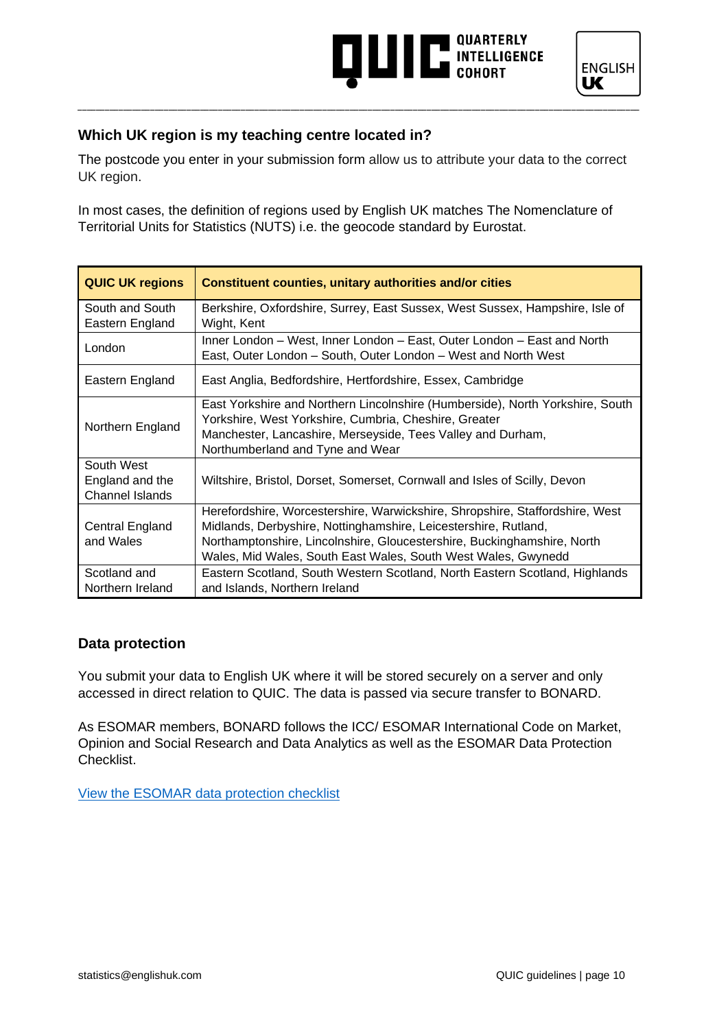### **THE INTELLIGENCE**



#### **Which UK region is my teaching centre located in?**

The postcode you enter in your submission form allow us to attribute your data to the correct UK region.

\_\_\_\_\_\_\_\_\_\_\_\_\_\_\_\_\_\_\_\_\_\_\_\_\_\_\_\_\_\_\_\_\_\_\_\_\_\_\_\_\_\_\_\_\_\_\_\_\_\_\_\_\_\_\_\_\_\_\_\_\_\_\_\_\_\_\_\_\_\_\_\_\_\_\_\_\_\_\_\_\_\_\_\_\_\_\_\_\_\_\_\_\_\_\_\_\_\_\_\_\_\_\_\_\_\_\_\_\_\_\_\_\_\_\_\_\_\_\_\_\_\_\_\_

In most cases, the definition of regions used by English UK matches The Nomenclature of Territorial Units for Statistics (NUTS) i.e. the geocode standard by Eurostat.

| <b>QUIC UK regions</b>                                  | <b>Constituent counties, unitary authorities and/or cities</b>                                                                                                                                                                                                                              |
|---------------------------------------------------------|---------------------------------------------------------------------------------------------------------------------------------------------------------------------------------------------------------------------------------------------------------------------------------------------|
| South and South<br>Eastern England                      | Berkshire, Oxfordshire, Surrey, East Sussex, West Sussex, Hampshire, Isle of<br>Wight, Kent                                                                                                                                                                                                 |
| London                                                  | Inner London - West, Inner London - East, Outer London - East and North<br>East, Outer London - South, Outer London - West and North West                                                                                                                                                   |
| Eastern England                                         | East Anglia, Bedfordshire, Hertfordshire, Essex, Cambridge                                                                                                                                                                                                                                  |
| Northern England                                        | East Yorkshire and Northern Lincolnshire (Humberside), North Yorkshire, South<br>Yorkshire, West Yorkshire, Cumbria, Cheshire, Greater<br>Manchester, Lancashire, Merseyside, Tees Valley and Durham,<br>Northumberland and Tyne and Wear                                                   |
| South West<br>England and the<br><b>Channel Islands</b> | Wiltshire, Bristol, Dorset, Somerset, Cornwall and Isles of Scilly, Devon                                                                                                                                                                                                                   |
| Central England<br>and Wales                            | Herefordshire, Worcestershire, Warwickshire, Shropshire, Staffordshire, West<br>Midlands, Derbyshire, Nottinghamshire, Leicestershire, Rutland,<br>Northamptonshire, Lincolnshire, Gloucestershire, Buckinghamshire, North<br>Wales, Mid Wales, South East Wales, South West Wales, Gwynedd |
| Scotland and<br>Northern Ireland                        | Eastern Scotland, South Western Scotland, North Eastern Scotland, Highlands<br>and Islands, Northern Ireland                                                                                                                                                                                |

#### **Data protection**

You submit your data to English UK where it will be stored securely on a server and only accessed in direct relation to QUIC. The data is passed via secure transfer to BONARD.

As ESOMAR members, BONARD follows the ICC/ ESOMAR International Code on Market, Opinion and Social Research and Data Analytics as well as the ESOMAR Data Protection Checklist.

[View the ESOMAR data protection checklist](https://esomar.org/uploads/attachments/ckqw2a1ia07kcmhtrg964ysir-esomar-data-protection-checklist-september-2017.pdf)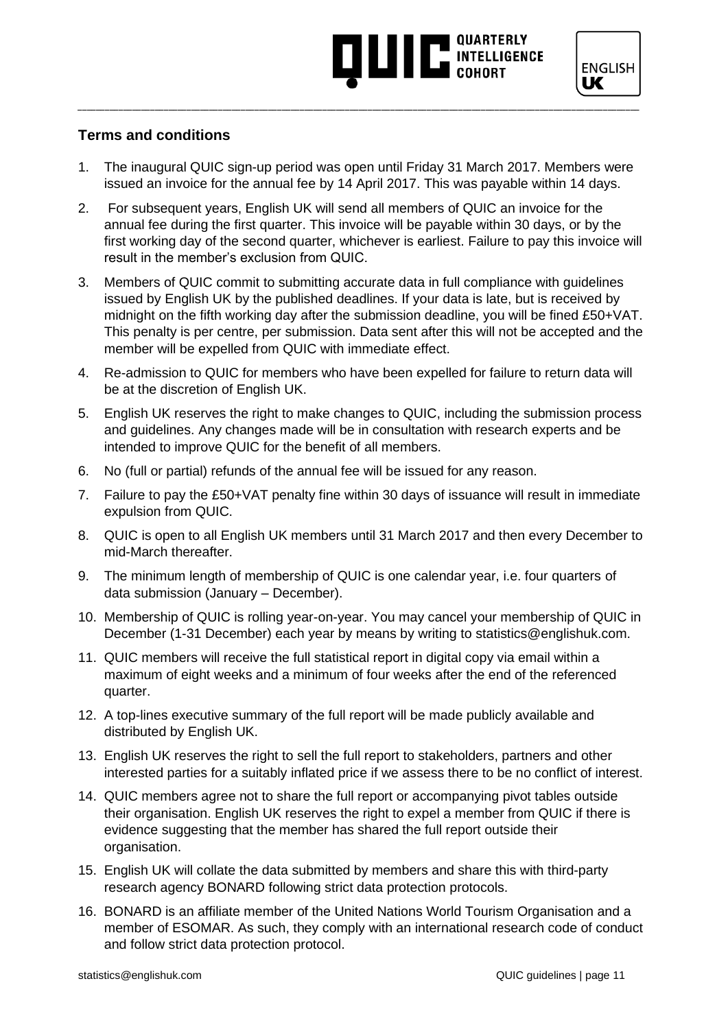### **AND THE SUBSTANCE**

#### **Terms and conditions**

1. The inaugural QUIC sign-up period was open until Friday 31 March 2017. Members were issued an invoice for the annual fee by 14 April 2017. This was payable within 14 days.

- 2. For subsequent years, English UK will send all members of QUIC an invoice for the annual fee during the first quarter. This invoice will be payable within 30 days, or by the first working day of the second quarter, whichever is earliest. Failure to pay this invoice will result in the member's exclusion from QUIC.
- 3. Members of QUIC commit to submitting accurate data in full compliance with guidelines issued by English UK by the published deadlines. If your data is late, but is received by midnight on the fifth working day after the submission deadline, you will be fined £50+VAT. This penalty is per centre, per submission. Data sent after this will not be accepted and the member will be expelled from QUIC with immediate effect.
- 4. Re-admission to QUIC for members who have been expelled for failure to return data will be at the discretion of English UK.
- 5. English UK reserves the right to make changes to QUIC, including the submission process and guidelines. Any changes made will be in consultation with research experts and be intended to improve QUIC for the benefit of all members.
- 6. No (full or partial) refunds of the annual fee will be issued for any reason.
- 7. Failure to pay the £50+VAT penalty fine within 30 days of issuance will result in immediate expulsion from QUIC.
- 8. QUIC is open to all English UK members until 31 March 2017 and then every December to mid-March thereafter.
- 9. The minimum length of membership of QUIC is one calendar year, i.e. four quarters of data submission (January – December).
- 10. Membership of QUIC is rolling year-on-year. You may cancel your membership of QUIC in December (1-31 December) each year by means by writing to [statistics@englishuk.com.](mailto:statistics@englishuk.com)
- 11. QUIC members will receive the full statistical report in digital copy via email within a maximum of eight weeks and a minimum of four weeks after the end of the referenced quarter.
- 12. A top-lines executive summary of the full report will be made publicly available and distributed by English UK.
- 13. English UK reserves the right to sell the full report to stakeholders, partners and other interested parties for a suitably inflated price if we assess there to be no conflict of interest.
- 14. QUIC members agree not to share the full report or accompanying pivot tables outside their organisation. English UK reserves the right to expel a member from QUIC if there is evidence suggesting that the member has shared the full report outside their organisation.
- 15. English UK will collate the data submitted by members and share this with third-party research agency BONARD following strict data protection protocols.
- 16. BONARD is an affiliate member of the United Nations World Tourism Organisation and a member of ESOMAR. As such, they comply with an international research code of conduct and follow strict data protection protocol.